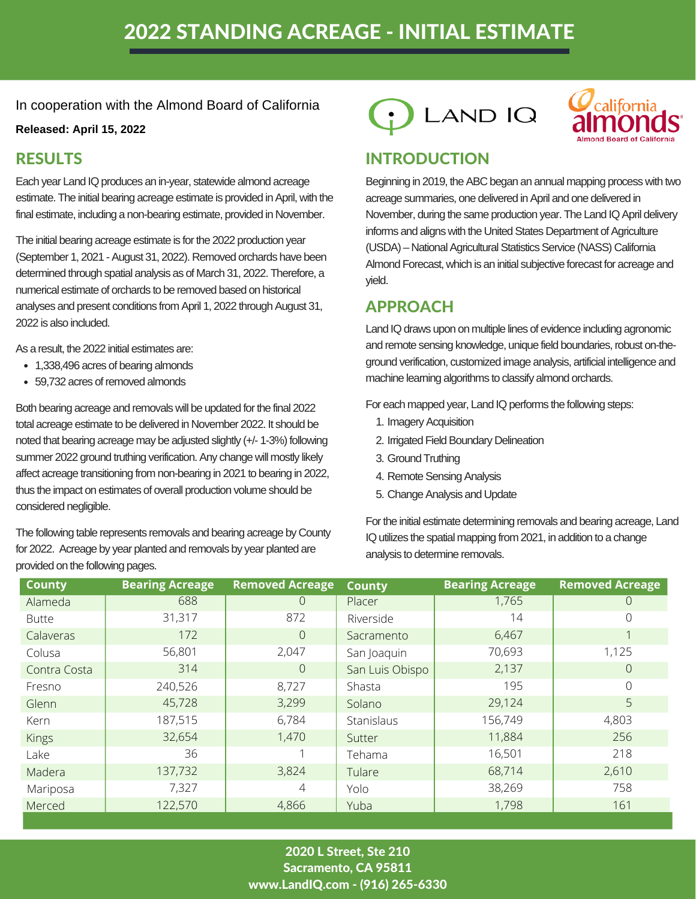# 2022 STANDING ACREAGE - INITIAL ESTIMATE

In cooperation with the Almond Board of California

### **Released: April 15, 2022**

Each year Land IQ produces an in-year, statewide almond acreage estimate. The initial bearing acreage estimate is provided in April, with the final estimate, including a non-bearing estimate, provided in November.

The initial bearing acreage estimate is for the 2022 production year (September 1, 2021 - August 31, 2022). Removed orchards have been determined through spatial analysis as of March 31, 2022. Therefore, a numerical estimate of orchards to be removed based on historical analyses and present conditions from April 1, 2022 through August 31, 2022 is also included.

As a result, the 2022 initial estimates are:

- 1,338,496 acres of bearing almonds
- 59,732 acres of removed almonds

Both bearing acreage and removals will be updated for the final 2022 total acreage estimate to be delivered in November 2022. It should be noted that bearing acreage may be adjusted slightly (+/- 1-3%) following summer 2022 ground truthing verification. Any change will mostly likely affect acreage transitioning from non-bearing in 2021 to bearing in 2022, thus the impact on estimates of overall production volume should be considered negligible.

The following table represents removals and bearing acreage by County for 2022. Acreage by year planted and removals by year planted are provided on the following pages.





### RESULTS INTRODUCTION

Beginning in 2019, the ABC began an annual mapping process with two acreage summaries, one delivered in April and one delivered in November, during the same production year. The Land IQ April delivery informs and aligns with the United States Department of Agriculture (USDA) – National Agricultural Statistics Service (NASS) California Almond Forecast, which is an initial subjective forecast for acreage and yield.

## APPROACH

Land IQ draws upon on multiple lines of evidence including agronomic and remote sensing knowledge, unique field boundaries, robust on-theground verification, customized image analysis, artificial intelligence and machine learning algorithms to classify almond orchards.

For each mapped year, Land IQ performs the following steps:

- 1. Imagery Acquisition
- 2. Irrigated Field Boundary Delineation
- 3. Ground Truthing
- 4. Remote Sensing Analysis
- 5. Change Analysis and Update

For the initial estimate determining removals and bearing acreage, Land IQ utilizes the spatial mapping from 2021, in addition to a change analysis to determine removals.

| <b>County</b> | <b>Bearing Acreage</b> | <b>Removed Acreage</b> | <b>County</b>   | <b>Bearing Acreage</b> | <b>Removed Acreage</b> |
|---------------|------------------------|------------------------|-----------------|------------------------|------------------------|
| Alameda       | 688                    | $\overline{0}$         | Placer          | 1,765                  | $\Omega$               |
| <b>Butte</b>  | 31,317                 | 872                    | Riverside       | 14                     | $\Omega$               |
| Calaveras     | 172                    | $\overline{0}$         | Sacramento      | 6,467                  |                        |
| Colusa        | 56,801                 | 2,047                  | San Joaquin     | 70,693                 | 1,125                  |
| Contra Costa  | 314                    | $\sqrt{a}$             | San Luis Obispo | 2,137                  | $\overline{0}$         |
| Fresno        | 240,526                | 8,727                  | Shasta          | 195                    | $\overline{0}$         |
| Glenn         | 45,728                 | 3,299                  | Solano          | 29,124                 | 5                      |
| Kern          | 187,515                | 6,784                  | Stanislaus      | 156,749                | 4,803                  |
| <b>Kings</b>  | 32,654                 | 1,470                  | Sutter          | 11,884                 | 256                    |
| Lake          | 36                     | 1                      | Tehama          | 16,501                 | 218                    |
| Madera        | 137,732                | 3,824                  | Tulare          | 68,714                 | 2,610                  |
| Mariposa      | 7,327                  | 4                      | Yolo            | 38,269                 | 758                    |
| Merced        | 122,570                | 4,866                  | Yuba            | 1,798                  | 161                    |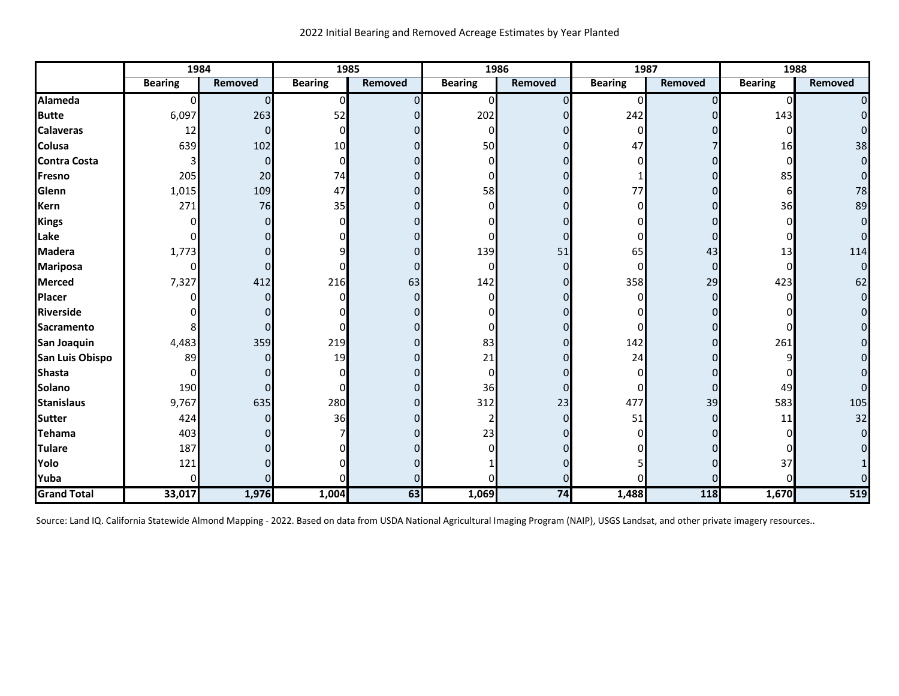|                     | 1984           |                | 1985           |          | 1986           |         | 1987           |         | 1988           |                |
|---------------------|----------------|----------------|----------------|----------|----------------|---------|----------------|---------|----------------|----------------|
|                     | <b>Bearing</b> | <b>Removed</b> | <b>Bearing</b> | Removed  | <b>Bearing</b> | Removed | <b>Bearing</b> | Removed | <b>Bearing</b> | Removed        |
| Alameda             | $\Omega$       | 0              | $\Omega$       |          | 0l             |         | 0              |         | $\Omega$       | $\overline{0}$ |
| <b>Butte</b>        | 6,097          | 263            | 52             |          | 202            |         | 242            |         | 143            | $\overline{0}$ |
| <b>Calaveras</b>    | 12             | ŋ              |                |          | 0              |         | 0              |         |                | $\Omega$       |
| <b>Colusa</b>       | 639            | 102            | 10             |          | 50             |         | 47             |         | 16             | 38             |
| <b>Contra Costa</b> |                | $\Omega$       |                |          |                |         |                |         | <sup>0</sup>   | $\overline{0}$ |
| Fresno              | 205            | 20             | 74             |          |                |         |                |         | 85             | $\overline{0}$ |
| Glenn               | 1,015          | 109            | 47             |          | 58             |         | 77             |         | 6              | 78             |
| <b>Kern</b>         | 271            | 76             | 35             |          |                |         |                |         | 36             | 89             |
| <b>Kings</b>        |                |                |                |          |                |         |                |         |                | $\overline{0}$ |
| Lake                |                |                |                |          |                |         |                |         |                | $\overline{0}$ |
| <b>Madera</b>       | 1,773          |                |                |          | 139            | 51      | 65             | 43      | 13             | 114            |
| <b>Mariposa</b>     | 01             |                |                |          | 0              |         | 0              | O       | 0              | $\overline{0}$ |
| <b>Merced</b>       | 7,327          | 412            | 216            | 63       | 142            |         | 358            | 29      | 423            | 62             |
| Placer              | n              |                |                | $\Omega$ | <sup>0</sup>   |         | ŋ              |         | ŋ              | $\overline{0}$ |
| <b>Riverside</b>    |                |                |                |          |                |         |                |         |                | $\overline{0}$ |
| Sacramento          |                |                |                |          |                |         |                |         |                | $\overline{0}$ |
| San Joaquin         | 4,483          | 359            | 219            |          | 83             |         | 142            |         | 261            | $\overline{0}$ |
| San Luis Obispo     | 89             |                | 19             |          | 21             |         | 24             |         |                | $\overline{0}$ |
| <b>Shasta</b>       | 01             |                |                |          | 0              |         |                |         |                | $\Omega$       |
| <b>Solano</b>       | 190            |                |                |          | 36             |         | 0              |         | 49             | $\overline{0}$ |
| <b>Stanislaus</b>   | 9,767          | 635            | 280            |          | 312            | 23      | 477            | 39      | 583            | 105            |
| <b>Sutter</b>       | 424            |                | 36             |          |                |         | 51             | O       | 11             | 32             |
| <b>Tehama</b>       | 403            |                |                |          | 23             |         |                |         |                | $\overline{0}$ |
| <b>Tulare</b>       | 187            |                |                |          |                |         |                |         |                | ΩI             |
| Yolo                | 121            |                |                |          |                |         |                |         | 37             |                |
| Yuba                | $\Omega$       |                |                |          |                |         |                |         |                |                |
| <b>Grand Total</b>  | 33,017         | 1,976          | 1,004          | 63       | 1,069          | 74      | 1,488          | 118     | 1,670          | 519            |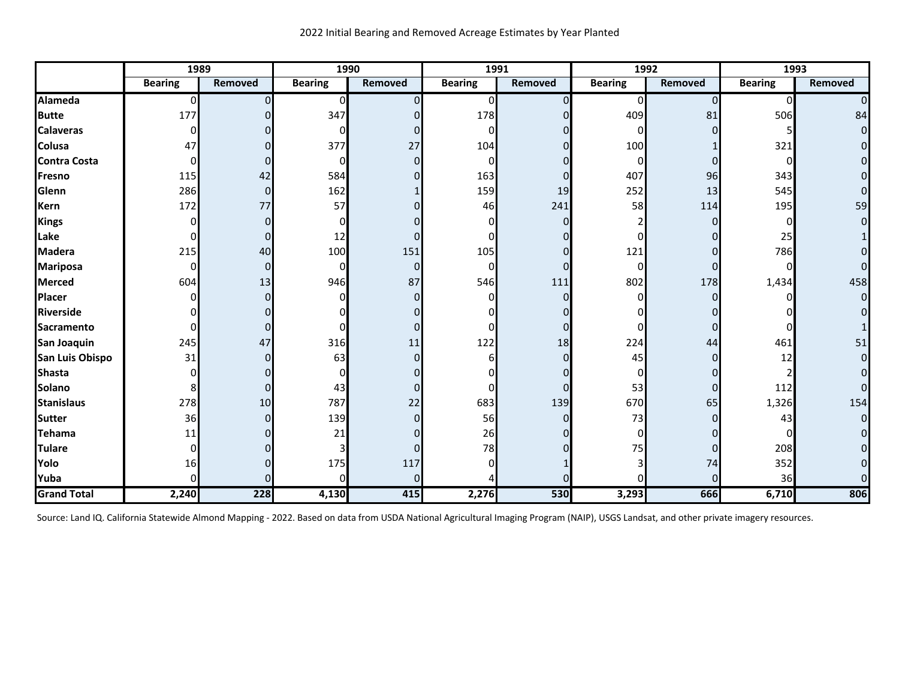|                     | 1989           |          | 1990           |          | 1991           |          |                | 1992     | 1993           |                |
|---------------------|----------------|----------|----------------|----------|----------------|----------|----------------|----------|----------------|----------------|
|                     | <b>Bearing</b> | Removed  | <b>Bearing</b> | Removed  | <b>Bearing</b> | Removed  | <b>Bearing</b> | Removed  | <b>Bearing</b> | <b>Removed</b> |
| Alameda             | $\Omega$       | 0        | $\Omega$       |          | 0              | $\Omega$ | $\Omega$       | $\Omega$ | $\Omega$       | $\Omega$       |
| <b>Butte</b>        | 177            |          | 347            |          | 178            |          | 409            | 81       | 506            | 84             |
| <b>Calaveras</b>    | $\Omega$       | 01       | n              |          | $\Omega$       |          | $\Omega$       | O        |                | $\overline{0}$ |
| <b>Colusa</b>       | 47             |          | 377            | 27       | 104            |          | 100            |          | 321            | $\overline{0}$ |
| <b>Contra Costa</b> | 0              | ი        | 0              | $\Omega$ | $\Omega$       |          | $\Omega$       | O        | 0              | $\overline{0}$ |
| Fresno              | 115            | 42       | 584            |          | 163            |          | 407            | 96       | 343            | $\overline{0}$ |
| Glenn               | 286            | $\Omega$ | 162            |          | 159            | 19       | 252            | 13       | 545            | $\overline{0}$ |
| <b>Kern</b>         | 172            | 77       | 57             |          | 46             | 241      | 58             | 114      | 195            | 59             |
| Kings               | <sup>0</sup>   | $\Omega$ |                |          | O              |          |                |          |                | $\overline{0}$ |
| Lake                | 0              | 0        | 12             | O        | ი              |          | ŋ              |          | 25             | $\mathbf{1}$   |
| Madera              | 215            | 40       | 100            | 151      | 105            |          | 121            | n        | 786            | $\Omega$       |
| <b>Mariposa</b>     | $\Omega$       | $\Omega$ | 0              | $\Omega$ | $\Omega$       |          | $\Omega$       | 0        | 0              | $\Omega$       |
| <b>Merced</b>       | 604            | 13       | 946            | 87       | 546            | 111      | 802            | 178      | 1,434          | 458            |
| <b>Placer</b>       | U              | 0        |                | $\Omega$ | n              |          | $\Omega$       | n        |                | $\overline{0}$ |
| Riverside           |                |          |                |          |                |          |                |          |                | $\Omega$       |
| <b>Sacramento</b>   | n              | $\Omega$ |                | O        |                |          |                |          |                |                |
| San Joaquin         | 245            | 47       | 316            | $11\,$   | 122            | 18       | 224            | 44       | 461            | 51             |
| San Luis Obispo     | 31             | n        | 63             | $\Omega$ |                |          | 45             |          | 12             | $\overline{0}$ |
| <b>Shasta</b>       | U              |          |                |          |                |          | $\Omega$       |          |                | $\overline{0}$ |
| <b>Solano</b>       | 8              | 0        | 43             | $\Omega$ | ი              |          | 53             | 0        | 112            | $\overline{0}$ |
| <b>Stanislaus</b>   | 278            | 10       | 787            | 22       | 683            | 139      | 670            | 65       | 1,326          | 154            |
| <b>Sutter</b>       | 36             | 0        | 139            | $\Omega$ | 56             |          | 73             | O        | 43             | $\overline{0}$ |
| Tehama              | 11             |          | 21             |          | 26             |          | 0              |          |                | $\overline{0}$ |
| <b>Tulare</b>       | $\Omega$       |          |                | $\Omega$ | 78             |          | 75             | O        | 208            | $\overline{0}$ |
| Yolo                | 16             |          | 175            | 117      |                |          |                | 74       | 352            | $\Omega$       |
| Yuba                | <sup>0</sup>   |          |                | $\Omega$ |                |          |                |          | 36             | $\Omega$       |
| <b>Grand Total</b>  | 2,240          | 228      | 4,130          | 415      | 2,276          | 530      | 3,293          | 666      | 6,710          | 806            |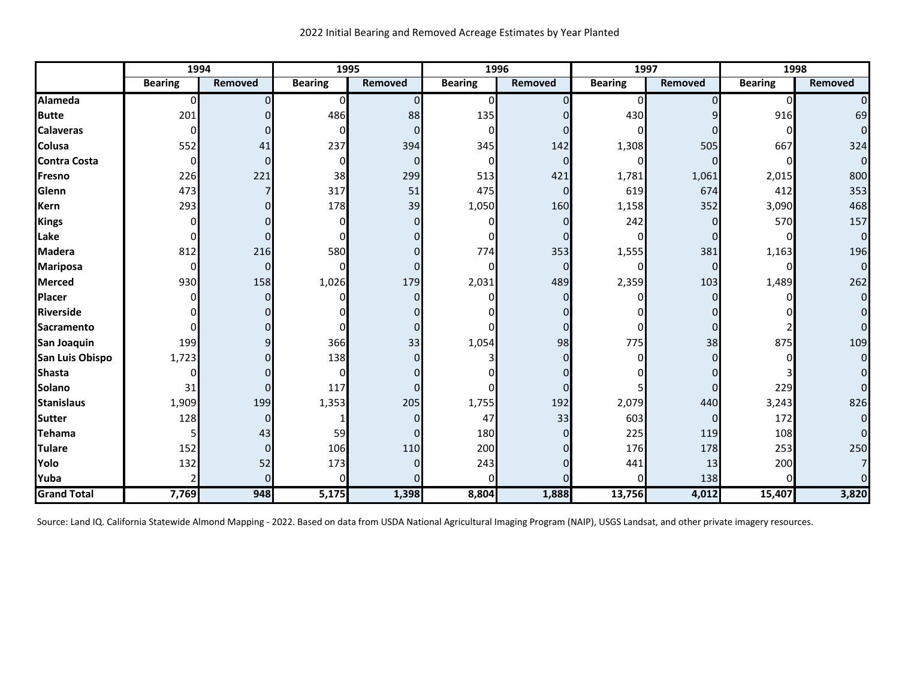|                     | 1994           |          | 1995           |          | 1996           |                | 1997           |         | 1998           |                |
|---------------------|----------------|----------|----------------|----------|----------------|----------------|----------------|---------|----------------|----------------|
|                     | <b>Bearing</b> | Removed  | <b>Bearing</b> | Removed  | <b>Bearing</b> | Removed        | <b>Bearing</b> | Removed | <b>Bearing</b> | <b>Removed</b> |
| Alameda             | $\Omega$       |          | 0              | $\Omega$ | O              | 0              | $\Omega$       |         | $\Omega$       | $\Omega$       |
| <b>Butte</b>        | 201            |          | 486            | 88       | 135            |                | 430            |         | 916            | 69             |
| <b>Calaveras</b>    | $\Omega$       | $\Omega$ | $\Omega$       | $\Omega$ | $\Omega$       |                | $\Omega$       |         | O              | $\overline{0}$ |
| <b>Colusa</b>       | 552            | 41       | 237            | 394      | 345            | 142            | 1,308          | 505     | 667            | 324            |
| <b>Contra Costa</b> | 0              | $\Omega$ | 0              | $\Omega$ | 0              | $\Omega$       | 0              |         | <sup>0</sup>   | $\overline{0}$ |
| Fresno              | 226            | 221      | 38             | 299      | 513            | 421            | 1,781          | 1,061   | 2,015          | 800            |
| Glenn               | 473            |          | 317            | 51       | 475            | $\overline{0}$ | 619            | 674     | 412            | 353            |
| <b>Kern</b>         | 293            |          | 178            | 39       | 1,050          | 160            | 1,158          | 352     | 3,090          | 468            |
| Kings               |                |          |                | $\Omega$ |                | 0              | 242            | O       | 570            | 157            |
| Lake                |                |          |                |          |                |                | $\Omega$       | O       | <sup>0</sup>   | $\overline{0}$ |
| <b>Madera</b>       | 812            | 216      | 580            | $\Omega$ | 774            | 353            | 1,555          | 381     | 1,163          | 196            |
| <b>Mariposa</b>     | $\Omega$       | $\Omega$ | 0              | $\Omega$ | 0              | $\overline{0}$ | 0l             | 0       | 0              | $\overline{0}$ |
| <b>Merced</b>       | 930            | 158      | 1,026          | 179      | 2,031          | 489            | 2,359          | 103     | 1,489          | 262            |
| <b>Placer</b>       |                |          |                | $\Omega$ |                | <sup>0</sup>   |                |         |                | $\overline{0}$ |
| <b>Riverside</b>    |                |          |                |          |                |                |                |         |                | $\Omega$       |
| <b>Sacramento</b>   |                |          |                | $\Omega$ |                | 0              |                |         |                | $\Omega$       |
| San Joaquin         | 199            |          | 366            | 33       | 1,054          | 98             | 775            | 38      | 875            | 109            |
| San Luis Obispo     | 1,723          |          | 138            | $\Omega$ |                |                |                |         |                | $\overline{0}$ |
| <b>Shasta</b>       | 0              |          | $\Omega$       |          |                |                |                |         |                | $\Omega$       |
| <b>Solano</b>       | 31             | 0        | 117            | $\Omega$ |                |                |                | O       | 229            | $\Omega$       |
| <b>Stanislaus</b>   | 1,909          | 199      | 1,353          | 205      | 1,755          | 192            | 2,079          | 440     | 3,243          | 826            |
| <b>Sutter</b>       | 128            | 0        |                | $\Omega$ | 47             | 33             | 603            | 0       | 172            | $\overline{0}$ |
| <b>Tehama</b>       |                | 43       | 59             | $\Omega$ | 180            |                | 225            | 119     | 108            | 0              |
| <b>Tulare</b>       | 152            | $\Omega$ | 106            | 110      | 200            |                | 176            | 178     | 253            | 250            |
| Yolo                | 132            | 52       | 173            | $\Omega$ | 243            |                | 441            | 13      | 200            | $\overline{7}$ |
| Yuba                |                |          |                |          |                |                | n              | 138     |                | $\Omega$       |
| <b>Grand Total</b>  | 7,769          | 948      | 5,175          | 1,398    | 8,804          | 1,888          | 13,756         | 4,012   | 15,407         | 3,820          |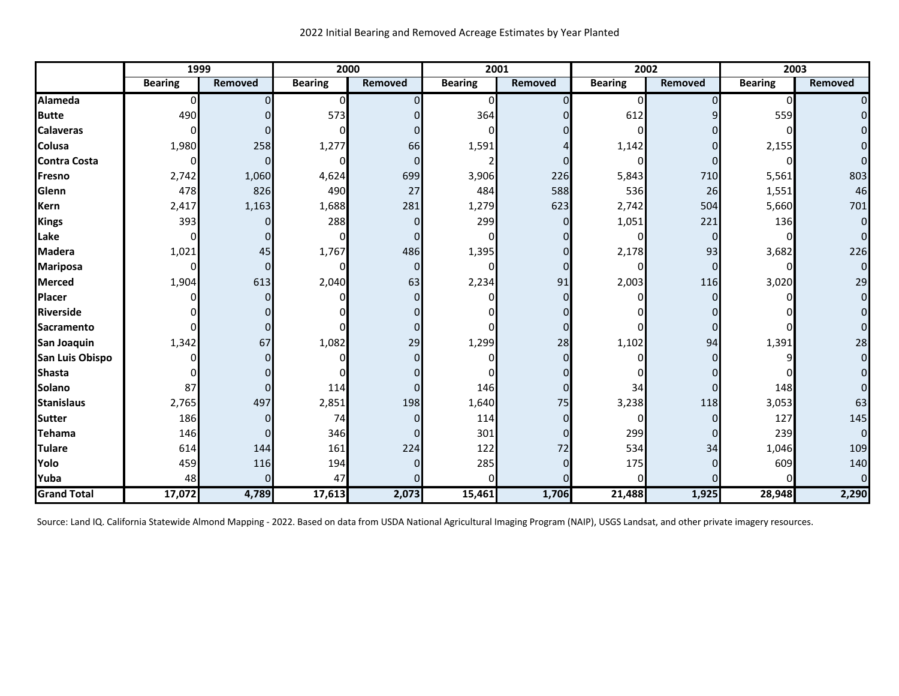|                     | 1999           |         | 2000           |                | 2001           |          | 2002           |         | 2003           |                |
|---------------------|----------------|---------|----------------|----------------|----------------|----------|----------------|---------|----------------|----------------|
|                     | <b>Bearing</b> | Removed | <b>Bearing</b> | <b>Removed</b> | <b>Bearing</b> | Removed  | <b>Bearing</b> | Removed | <b>Bearing</b> | <b>Removed</b> |
| <b>Alameda</b>      | $\Omega$       |         | 0              | $\Omega$       | n              | $\Omega$ |                |         | 0              | $\overline{0}$ |
| <b>Butte</b>        | 490            |         | 573            |                | 364            |          | 612            |         | 559            | $\overline{0}$ |
| <b>Calaveras</b>    | $\Omega$       |         |                |                |                |          |                |         |                | $\Omega$       |
| <b>Colusa</b>       | 1,980          | 258     | 1,277          | 66             | 1,591          |          | 1,142          |         | 2,155          | $\Omega$       |
| <b>Contra Costa</b> | $\Omega$       |         | O              | $\Omega$       |                |          |                |         |                | $\Omega$       |
| Fresno              | 2,742          | 1,060   | 4,624          | 699            | 3,906          | 226      | 5,843          | 710     | 5,561          | 803            |
| Glenn               | 478            | 826     | 490            | 27             | 484            | 588      | 536            | 26      | 1,551          | 46             |
| <b>Kern</b>         | 2,417          | 1,163   | 1,688          | 281            | 1,279          | 623      | 2,742          | 504     | 5,660          | 701            |
| Kings               | 393            |         | 288            | $\Omega$       | 299            | 0        | 1,051          | 221     | 136            | $\Omega$       |
| Lake                | $\Omega$       |         | O              | 0              |                |          |                | 0       |                | $\Omega$       |
| <b>Madera</b>       | 1,021          | 45      | 1,767          | 486            | 1,395          |          | 2,178          | 93      | 3,682          | 226            |
| <b>Mariposa</b>     | 0              |         | 0              | $\overline{0}$ |                |          |                | 0       |                | $\mathbf 0$    |
| <b>Merced</b>       | 1,904          | 613     | 2,040          | 63             | 2,234          | 91       | 2,003          | 116     | 3,020          | 29             |
| Placer              |                |         |                | <sup>0</sup>   |                |          |                |         |                | $\Omega$       |
| <b>Riverside</b>    |                |         |                |                |                |          |                |         |                | $\Omega$       |
| <b>Sacramento</b>   |                |         |                |                |                |          |                |         |                | $\Omega$       |
| San Joaquin         | 1,342          | 67      | 1,082          | 29             | 1,299          | 28       | 1,102          | 94      | 1,391          | 28             |
| San Luis Obispo     |                |         |                | <sup>0</sup>   |                |          |                |         |                | $\mathbf 0$    |
| <b>Shasta</b>       |                |         |                |                |                |          |                |         |                | $\Omega$       |
| Solano              | 87             |         | 114            | 0              | 146            |          | 34             | n       | 148            | $\Omega$       |
| <b>Stanislaus</b>   | 2,765          | 497     | 2,851          | 198            | 1,640          | 75       | 3,238          | 118     | 3,053          | 63             |
| Sutter              | 186            |         | 74             | $\Omega$       | 114            | 0        |                |         | 127            | 145            |
| Tehama              | 146            |         | 346            |                | 301            |          | 299            | Ω       | 239            | $\Omega$       |
| <b>Tulare</b>       | 614            | 144     | 161            | 224            | 122            | 72       | 534            | 34      | 1,046          | 109            |
| Yolo                | 459            | 116     | 194            | 0              | 285            |          | 175            |         | 609            | 140            |
| Yuba                | 48             |         | 47             |                |                |          |                |         |                | $\Omega$       |
| <b>Grand Total</b>  | 17,072         | 4,789   | 17,613         | 2,073          | 15,461         | 1,706    | 21,488         | 1,925   | 28,948         | 2,290          |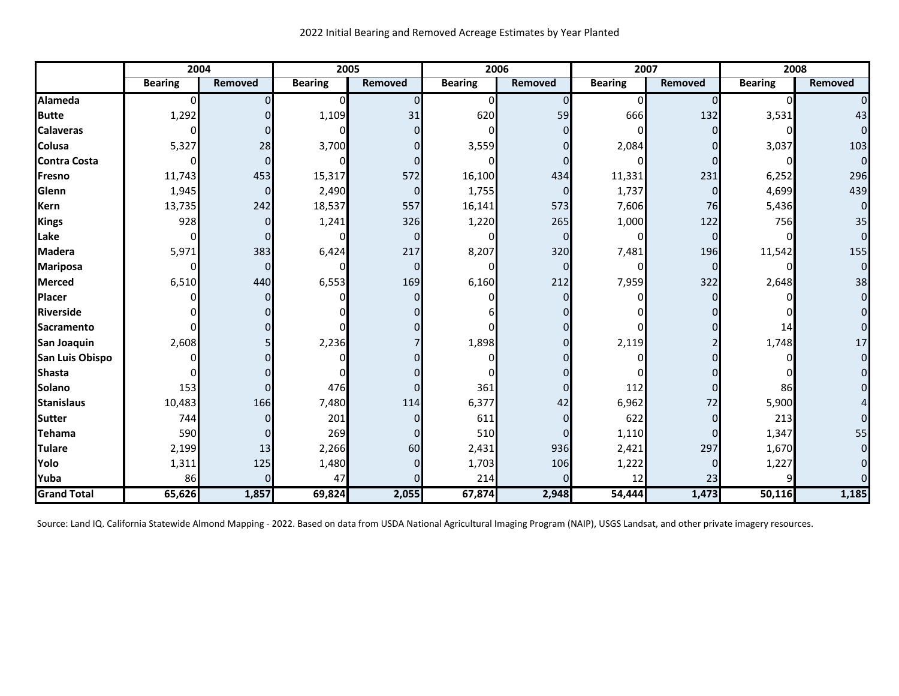|                     | 2004           |                | 2005           |                | 2006           |                |                | 2007     | 2008           |                |
|---------------------|----------------|----------------|----------------|----------------|----------------|----------------|----------------|----------|----------------|----------------|
|                     | <b>Bearing</b> | <b>Removed</b> | <b>Bearing</b> | <b>Removed</b> | <b>Bearing</b> | Removed        | <b>Bearing</b> | Removed  | <b>Bearing</b> | Removed        |
| Alameda             | $\Omega$       | $\Omega$       | $\mathbf 0$    | $\overline{0}$ | 0              | $\overline{0}$ | $\overline{0}$ | $\Omega$ | $\overline{0}$ | $\overline{0}$ |
| <b>Butte</b>        | 1,292          | $\Omega$       | 1,109          | 31             | 620            | 59             | 666            | 132      | 3,531          | 43             |
| <b>Calaveras</b>    | <sup>0</sup>   | 0              | n              | $\Omega$       | $\Omega$       | $\Omega$       |                |          | 0              | $\overline{O}$ |
| <b>Colusa</b>       | 5,327          | 28             | 3,700          | $\Omega$       | 3,559          |                | 2,084          |          | 3,037          | 103            |
| <b>Contra Costa</b> |                | $\Omega$       |                | $\Omega$       |                | $\Omega$       |                |          | O              | $\overline{0}$ |
| <b>Fresno</b>       | 11,743         | 453            | 15,317         | 572            | 16,100         | 434            | 11,331         | 231      | 6,252          | 296            |
| Glenn               | 1,945          | $\mathbf 0$    | 2,490          | $\overline{0}$ | 1,755          | $\overline{0}$ | 1,737          | $\Omega$ | 4,699          | 439            |
| <b>Kern</b>         | 13,735         | 242            | 18,537         | 557            | 16,141         | 573            | 7,606          | 76       | 5,436          | $\overline{0}$ |
| Kings               | 928            | $\Omega$       | 1,241          | 326            | 1,220          | 265            | 1,000          | 122      | 756            | 35             |
| Lake                | $\Omega$       | 0              |                | $\Omega$       | 0              | $\Omega$       | 0              | $\Omega$ |                | $\overline{0}$ |
| <b>Madera</b>       | 5,971          | 383            | 6,424          | 217            | 8,207          | 320            | 7,481          | 196      | 11,542         | 155            |
| <b>Mariposa</b>     |                | $\mathbf 0$    | $\Omega$       | $\overline{0}$ | 0l             | $\Omega$       | 0              | $\Omega$ | O              | $\overline{0}$ |
| <b>Merced</b>       | 6,510          | 440            | 6,553          | 169            | 6,160          | 212            | 7,959          | 322      | 2,648          | 38             |
| <b>Placer</b>       |                | 0              |                | $\Omega$       |                | $\Omega$       |                |          |                | $\overline{O}$ |
| Riverside           |                | $\Omega$       |                |                |                |                |                |          |                | $\overline{0}$ |
| Sacramento          |                | $\Omega$       |                |                | $\Omega$       | $\Omega$       |                |          | 14             | $\overline{0}$ |
| San Joaquin         | 2,608          | 5              | 2,236          |                | 1,898          | $\Omega$       | 2,119          |          | 1,748          | 17             |
| San Luis Obispo     |                | $\Omega$       |                |                |                | $\Omega$       |                |          | O              | $\mathbf 0$    |
| <b>Shasta</b>       |                | O              |                |                |                |                |                |          |                | $\mathbf 0$    |
| Solano              | 153            | 0              | 476            | $\Omega$       | 361            | $\Omega$       | 112            |          | 86             | $\Omega$       |
| <b>Stanislaus</b>   | 10,483         | 166            | 7,480          | 114            | 6,377          | 42             | 6,962          | 72       | 5,900          |                |
| <b>Sutter</b>       | 744            | $\Omega$       | 201            | $\overline{0}$ | 611            | $\Omega$       | 622            | ŋ        | 213            | $\Omega$       |
| <b>Tehama</b>       | 590            | $\mathbf 0$    | 269            | $\overline{0}$ | 510            | $\Omega$       | 1,110          | O        | 1,347          | 55             |
| <b>Tulare</b>       | 2,199          | 13             | 2,266          | 60             | 2,431          | 936            | 2,421          | 297      | 1,670          | $\overline{0}$ |
| Yolo                | 1,311          | 125            | 1,480          | $\overline{0}$ | 1,703          | 106            | 1,222          | $\Omega$ | 1,227          | $\Omega$       |
| Yuba                | 86             | $\Omega$       | 47             | $\Omega$       | 214            | $\Omega$       | 12             | 23       | q              |                |
| <b>Grand Total</b>  | 65,626         | 1,857          | 69,824         | 2,055          | 67,874         | 2,948          | 54,444         | 1,473    | 50,116         | 1,185          |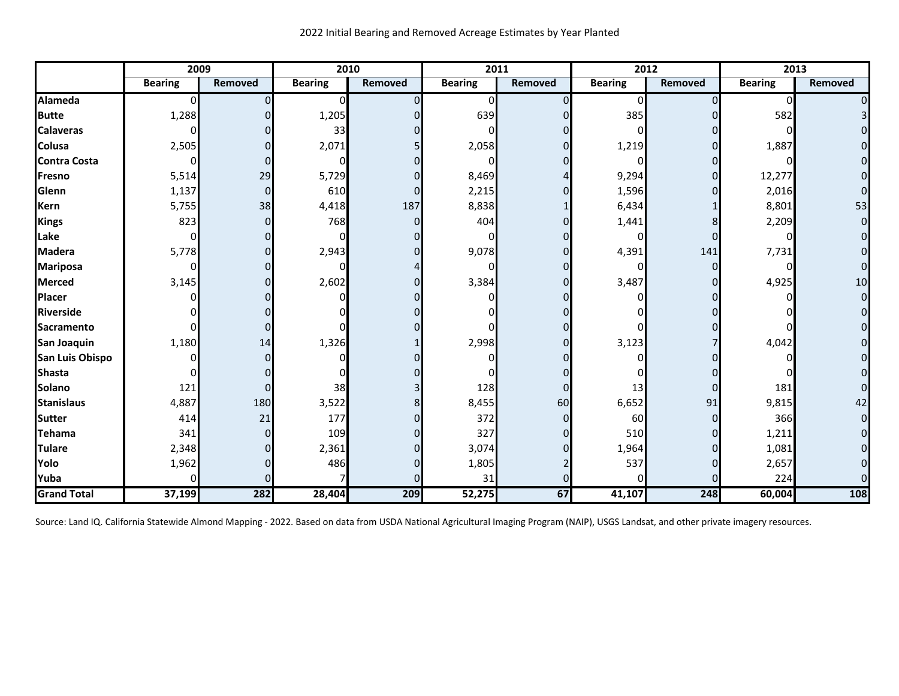|                     |                | 2009           |                | 2010           |                | 2011    |                | 2012           | 2013           |         |
|---------------------|----------------|----------------|----------------|----------------|----------------|---------|----------------|----------------|----------------|---------|
|                     | <b>Bearing</b> | <b>Removed</b> | <b>Bearing</b> | <b>Removed</b> | <b>Bearing</b> | Removed | <b>Bearing</b> | <b>Removed</b> | <b>Bearing</b> | Removed |
| Alameda             | $\Omega$       | n              | $\Omega$       | <sup>0</sup>   | 0              |         | 0              |                | $\Omega$       |         |
| <b>Butte</b>        | 1,288          |                | 1,205          |                | 639            |         | 385            |                | 582            |         |
| <b>Calaveras</b>    | <sup>0</sup>   |                | 33             |                | ŋ              |         |                |                |                |         |
| <b>Colusa</b>       | 2,505          |                | 2,071          |                | 2,058          |         | 1,219          |                | 1,887          |         |
| <b>Contra Costa</b> | 0              | 0              |                |                |                |         |                |                |                |         |
| Fresno              | 5,514          | 29             | 5,729          |                | 8,469          |         | 9,294          |                | 12,277         |         |
| Glenn               | 1,137          | $\Omega$       | 610            | O              | 2,215          |         | 1,596          |                | 2,016          | 0       |
| <b>Kern</b>         | 5,755          | 38             | 4,418          | 187            | 8,838          |         | 6,434          |                | 8,801          | 53      |
| Kings               | 823            | $\Omega$       | 768            |                | 404            |         | 1,441          |                | 2,209          |         |
| Lake                | 0              |                | n              |                | ŋ              |         | $\Omega$       |                |                |         |
| <b>Madera</b>       | 5,778          | 0              | 2,943          |                | 9,078          |         | 4,391          | 141            | 7,731          |         |
| <b>Mariposa</b>     | 0              |                |                |                |                |         | $\Omega$       | $\Omega$       |                |         |
| <b>Merced</b>       | 3,145          |                | 2,602          |                | 3,384          |         | 3,487          |                | 4,925          | 10      |
| Placer              |                |                |                |                |                |         |                |                |                |         |
| <b>Riverside</b>    |                |                |                |                |                |         |                |                |                |         |
| <b>Sacramento</b>   |                |                |                |                |                |         |                |                |                |         |
| San Joaquin         | 1,180          | 14             | 1,326          |                | 2,998          |         | 3,123          |                | 4,042          |         |
| San Luis Obispo     |                |                |                |                |                |         |                |                |                |         |
| <b>Shasta</b>       |                |                |                |                |                |         |                |                |                |         |
| Solano              | 121            | 0              | 38             |                | 128            |         | 13             | $\Omega$       | 181            |         |
| <b>Stanislaus</b>   | 4,887          | 180            | 3,522          |                | 8,455          | 60      | 6,652          | 91             | 9,815          | 42      |
| <b>Sutter</b>       | 414            | 21             | 177            |                | 372            |         | 60             |                | 366            |         |
| Tehama              | 341            | $\Omega$       | 109            |                | 327            |         | 510            |                | 1,211          |         |
| <b>Tulare</b>       | 2,348          | $\Omega$       | 2,361          |                | 3,074          |         | 1,964          |                | 1,081          |         |
| Yolo                | 1,962          | n              | 486            |                | 1,805          |         | 537            |                | 2,657          |         |
| Yuba                | n              |                |                |                | 31             |         |                |                | 224            |         |
| <b>Grand Total</b>  | 37,199         | 282            | 28,404         | 209            | 52,275         | 67      | 41,107         | 248            | 60,004         | 108     |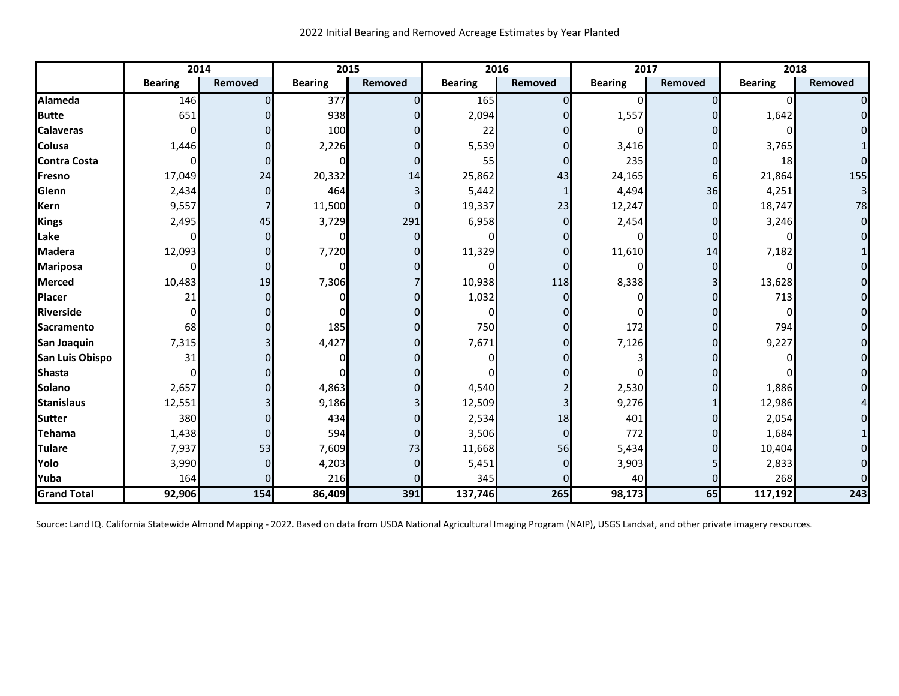|                        | 2014           |          | 2015           |                | 2016           |                | 2017           |                | 2018           |                     |
|------------------------|----------------|----------|----------------|----------------|----------------|----------------|----------------|----------------|----------------|---------------------|
|                        | <b>Bearing</b> | Removed  | <b>Bearing</b> | <b>Removed</b> | <b>Bearing</b> | Removed        | <b>Bearing</b> | <b>Removed</b> | <b>Bearing</b> | Removed             |
| Alameda                | 146            |          | 377            | $\Omega$       | 165            | 0              |                |                | 0              | $\overline{0}$      |
| <b>Butte</b>           | 651            |          | 938            |                | 2,094          | $\Omega$       | 1,557          |                | 1,642          | $\overline{0}$      |
| <b>Calaveras</b>       | 0              |          | 100            |                | 22             |                |                |                |                | $\Omega$            |
| <b>Colusa</b>          | 1,446          |          | 2,226          | $\Omega$       | 5,539          | $\Omega$       | 3,416          |                | 3,765          |                     |
| <b>Contra Costa</b>    |                |          |                | $\Omega$       | 55             | $\overline{0}$ | 235            |                | 18             | $\Omega$            |
| Fresno                 | 17,049         | 24       | 20,332         | 14             | 25,862         | 43             | 24,165         | 6              | 21,864         | 155                 |
| Glenn                  | 2,434          | O        | 464            | 3 <sup>l</sup> | 5,442          | 1              | 4,494          | 36             | 4,251          | 3 <sup>1</sup>      |
| <b>Kern</b>            | 9,557          |          | 11,500         | $\Omega$       | 19,337         | 23             | 12,247         | n              | 18,747         | 78                  |
| Kings                  | 2,495          | 45       | 3,729          | 291            | 6,958          | $\Omega$       | 2,454          |                | 3,246          | $\overline{0}$      |
| Lake                   | ŋ              | $\Omega$ |                | $\Omega$       |                |                | n              |                |                | $\Omega$            |
| <b>Madera</b>          | 12,093         | 0        | 7,720          |                | 11,329         | $\Omega$       | 11,610         | 14             | 7,182          |                     |
| <b>Mariposa</b>        |                | $\Omega$ | $\Omega$       |                |                | $\Omega$       |                |                |                | $\overline{0}$      |
| <b>Merced</b>          | 10,483         | 19       | 7,306          |                | 10,938         | 118            | 8,338          |                | 13,628         | $\mathbf{O}$        |
| Placer                 | 21             |          |                | $\Omega$       | 1,032          |                |                |                | 713            | $\mathbf 0$         |
| Riverside              |                |          |                |                | $\mathbf{I}$   |                |                |                |                | $\mathbf{O}$        |
| <b>Sacramento</b>      | 68             |          | 185            |                | 750            | $\Omega$       | 172            |                | 794            | $\mathbf{O}$        |
| San Joaquin            | 7,315          |          | 4,427          | $\Omega$       | 7,671          | $\overline{0}$ | 7,126          |                | 9,227          | $\mathsf{O}\xspace$ |
| <b>San Luis Obispo</b> | 31             |          |                |                |                | ΩI             |                |                |                | $\mathbf{O}$        |
| Shasta                 |                |          |                |                |                |                |                |                |                | $\overline{0}$      |
| <b>Solano</b>          | 2,657          |          | 4,863          | 0              | 4,540          |                | 2,530          |                | 1,886          | $\mathbf{O}$        |
| <b>Stanislaus</b>      | 12,551         |          | 9,186          |                | 12,509         |                | 9,276          |                | 12,986         | $\vert 4 \vert$     |
| <b>Sutter</b>          | 380            |          | 434            | $\Omega$       | 2,534          | 18             | 401            |                | 2,054          | $\overline{0}$      |
| Tehama                 | 1,438          | O        | 594            | $\Omega$       | 3,506          | $\Omega$       | 772            |                | 1,684          |                     |
| <b>Tulare</b>          | 7,937          | 53       | 7,609          | 73             | 11,668         | 56             | 5,434          |                | 10,404         | $\Omega$            |
| Yolo                   | 3,990          | ი        | 4,203          | $\Omega$       | 5,451          | 01             | 3,903          |                | 2,833          | $\overline{0}$      |
| Yuba                   | 164            |          | 216            |                | 345            |                | 40             |                | 268            | $\Omega$            |
| <b>Grand Total</b>     | 92,906         | 154      | 86,409         | 391            | 137,746        | 265            | 98,173         | 65             | 117,192        | 243                 |